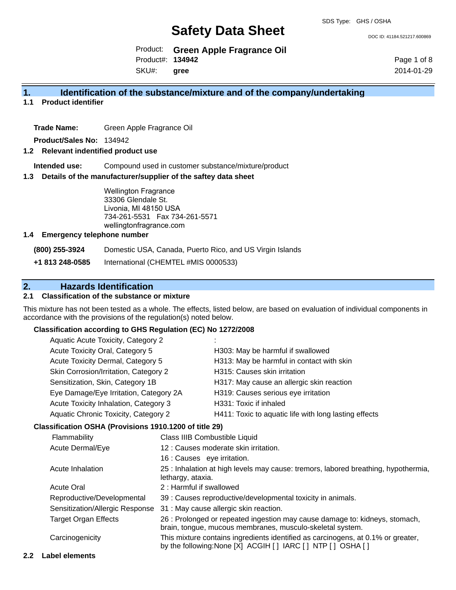DOC ID: 41184.521217.600869

Product: **Green Apple Fragrance Oil** Product#: **134942**

SKU#: **gree**

Page 1 of 8 2014-01-29

## **1. Identification of the substance/mixture and of the company/undertaking**

**1.1 Product identifier**

**Trade Name:** Green Apple Fragrance Oil

**Product/Sales No:** 134942

## **1.2 Relevant indentified product use**

**Intended use:** Compound used in customer substance/mixture/product

### **1.3 Details of the manufacturer/supplier of the saftey data sheet**

Wellington Fragrance 33306 Glendale St. Livonia, MI 48150 USA 734-261-5531 Fax 734-261-5571 wellingtonfragrance.com

### **1.4 Emergency telephone number**

**(800) 255-3924** Domestic USA, Canada, Puerto Rico, and US Virgin Islands

**+1 813 248-0585** International (CHEMTEL #MIS 0000533)

# **2. Hazards Identification**

## **2.1 Classification of the substance or mixture**

This mixture has not been tested as a whole. The effects, listed below, are based on evaluation of individual components in accordance with the provisions of the regulation(s) noted below.

### **Classification according to GHS Regulation (EC) No 1272/2008**

| Aquatic Acute Toxicity, Category 2<br>Acute Toxicity Oral, Category 5         |  |                                                                                    |
|-------------------------------------------------------------------------------|--|------------------------------------------------------------------------------------|
|                                                                               |  | H303: May be harmful if swallowed                                                  |
| Acute Toxicity Dermal, Category 5                                             |  | H313: May be harmful in contact with skin                                          |
| Skin Corrosion/Irritation, Category 2                                         |  | H315: Causes skin irritation                                                       |
| Sensitization, Skin, Category 1B                                              |  | H317: May cause an allergic skin reaction                                          |
| Eye Damage/Eye Irritation, Category 2A                                        |  | H319: Causes serious eye irritation                                                |
| Acute Toxicity Inhalation, Category 3<br>Aquatic Chronic Toxicity, Category 2 |  | H331: Toxic if inhaled                                                             |
|                                                                               |  | H411: Toxic to aquatic life with long lasting effects                              |
| Classification OSHA (Provisions 1910.1200 of title 29)                        |  |                                                                                    |
| Flammability<br>Acute Dermal/Eye<br>Acute Inhalation<br>lethargy, ataxia.     |  | Class IIIB Combustible Liquid                                                      |
|                                                                               |  | 12 : Causes moderate skin irritation.                                              |
|                                                                               |  | 16 : Causes eye irritation.                                                        |
|                                                                               |  | 25 : Inhalation at high levels may cause: tremors, labored breathing, hypothermia, |

|                             | ictriary, ataxia.                                                                                                                                  |
|-----------------------------|----------------------------------------------------------------------------------------------------------------------------------------------------|
| <b>Acute Oral</b>           | 2: Harmful if swallowed                                                                                                                            |
| Reproductive/Developmental  | 39 : Causes reproductive/developmental toxicity in animals.                                                                                        |
|                             | Sensitization/Allergic Response 31: May cause allergic skin reaction.                                                                              |
| <b>Target Organ Effects</b> | 26 : Prolonged or repeated ingestion may cause damage to: kidneys, stomach,<br>brain, tongue, mucous membranes, musculo-skeletal system.           |
| Carcinogenicity             | This mixture contains ingredients identified as carcinogens, at 0.1% or greater,<br>by the following: None [X] ACGIH [ ] IARC [ ] NTP [ ] OSHA [ ] |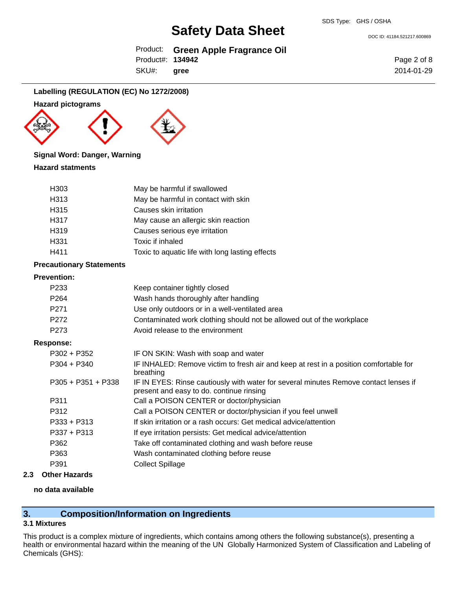Product: **Green Apple Fragrance Oil**

Product#: **134942**

SKU#: **gree**

Page 2 of 8 2014-01-29

DOC ID: 41184.521217.600869

## **Labelling (REGULATION (EC) No 1272/2008)**

## **Hazard pictograms**





## **Signal Word: Danger, Warning**

## **Hazard statments**

| H <sub>303</sub>  | May be harmful if swallowed                     |
|-------------------|-------------------------------------------------|
| H313              | May be harmful in contact with skin             |
| H <sub>315</sub>  | Causes skin irritation                          |
| H317              | May cause an allergic skin reaction             |
| H <sub>3</sub> 19 | Causes serious eye irritation                   |
| H <sub>331</sub>  | Toxic if inhaled                                |
| H411              | Toxic to aquatic life with long lasting effects |

## **Precautionary Statements**

### **Prevention:**

| P <sub>2</sub> 33    | Keep container tightly closed                                                                                                    |
|----------------------|----------------------------------------------------------------------------------------------------------------------------------|
| P <sub>264</sub>     | Wash hands thoroughly after handling                                                                                             |
| P <sub>271</sub>     | Use only outdoors or in a well-ventilated area                                                                                   |
| P <sub>272</sub>     | Contaminated work clothing should not be allowed out of the workplace                                                            |
| P <sub>273</sub>     | Avoid release to the environment                                                                                                 |
| <b>Response:</b>     |                                                                                                                                  |
| $P302 + P352$        | IF ON SKIN: Wash with soap and water                                                                                             |
| $P304 + P340$        | IF INHALED: Remove victim to fresh air and keep at rest in a position comfortable for<br>breathing                               |
| $P305 + P351 + P338$ | IF IN EYES: Rinse cautiously with water for several minutes Remove contact lenses if<br>present and easy to do. continue rinsing |
| P311                 | Call a POISON CENTER or doctor/physician                                                                                         |
| P312                 | Call a POISON CENTER or doctor/physician if you feel unwell                                                                      |
| $P333 + P313$        | If skin irritation or a rash occurs: Get medical advice/attention                                                                |
| $P337 + P313$        | If eye irritation persists: Get medical advice/attention                                                                         |
| P362                 | Take off contaminated clothing and wash before reuse                                                                             |
| P363                 | Wash contaminated clothing before reuse                                                                                          |
| P391                 | <b>Collect Spillage</b>                                                                                                          |
|                      |                                                                                                                                  |

# **2.3 Other Hazards**

## **no data available**

# **3. Composition/Information on Ingredients**

# **3.1 Mixtures**

This product is a complex mixture of ingredients, which contains among others the following substance(s), presenting a health or environmental hazard within the meaning of the UN Globally Harmonized System of Classification and Labeling of Chemicals (GHS):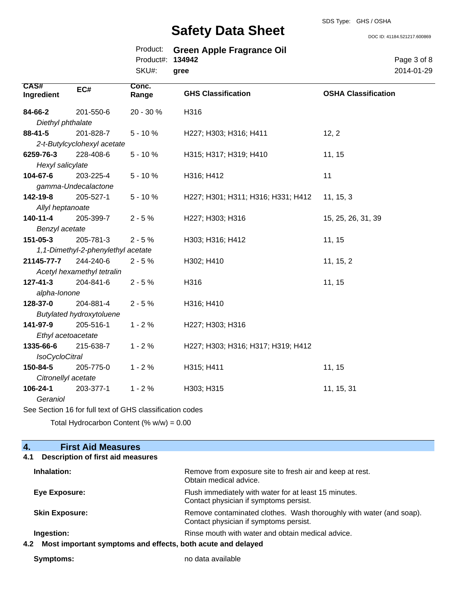DOC ID: 41184.521217.600869

Page 3 of 8 2014-01-29

|                       |                                    |                                |                                                    | DOC ID: 4118               |  |
|-----------------------|------------------------------------|--------------------------------|----------------------------------------------------|----------------------------|--|
|                       |                                    | Product:<br>Product#:<br>SKU#: | <b>Green Apple Fragrance Oil</b><br>134942<br>gree |                            |  |
| CAS#<br>Ingredient    | EC#                                | Conc.<br>Range                 | <b>GHS Classification</b>                          | <b>OSHA Classification</b> |  |
| 84-66-2               | 201-550-6                          | 20 - 30 %                      | H316                                               |                            |  |
| Diethyl phthalate     |                                    |                                |                                                    |                            |  |
| $88 - 41 - 5$         | 201-828-7                          | $5 - 10%$                      | H227; H303; H316; H411                             | 12, 2                      |  |
|                       | 2-t-Butylcyclohexyl acetate        |                                |                                                    |                            |  |
| 6259-76-3             | 228-408-6                          | $5 - 10%$                      | H315; H317; H319; H410                             | 11, 15                     |  |
| Hexyl salicylate      |                                    |                                |                                                    |                            |  |
| 104-67-6              | 203-225-4                          | $5 - 10%$                      | H316; H412                                         | 11                         |  |
|                       | gamma-Undecalactone                |                                |                                                    |                            |  |
| 142-19-8              | 205-527-1                          | $5 - 10%$                      | H227; H301; H311; H316; H331; H412                 | 11, 15, 3                  |  |
| Allyl heptanoate      |                                    |                                |                                                    |                            |  |
| $140 - 11 - 4$        | 205-399-7                          | $2 - 5%$                       | H227; H303; H316                                   | 15, 25, 26, 31, 39         |  |
| Benzyl acetate        |                                    |                                |                                                    |                            |  |
| 151-05-3              | 205-781-3                          | $2 - 5%$                       | H303; H316; H412                                   | 11, 15                     |  |
|                       | 1,1-Dimethyl-2-phenylethyl acetate |                                |                                                    |                            |  |
| 21145-77-7            | 244-240-6                          | $2 - 5%$                       | H302; H410                                         | 11, 15, 2                  |  |
|                       | Acetyl hexamethyl tetralin         |                                |                                                    |                            |  |
| $127 - 41 - 3$        | 204-841-6                          | $2 - 5%$                       | H316                                               | 11, 15                     |  |
| alpha-lonone          |                                    |                                |                                                    |                            |  |
| 128-37-0              | 204-881-4                          | $2 - 5%$                       | H316; H410                                         |                            |  |
|                       | <b>Butylated hydroxytoluene</b>    |                                |                                                    |                            |  |
| 141-97-9              | 205-516-1                          | $1 - 2%$                       | H227; H303; H316                                   |                            |  |
|                       | Ethyl acetoacetate                 |                                |                                                    |                            |  |
| 1335-66-6             | 215-638-7                          | $1 - 2%$                       | H227; H303; H316; H317; H319; H412                 |                            |  |
| <b>IsoCycloCitral</b> |                                    |                                |                                                    |                            |  |
| 150-84-5              | 205-775-0                          | $1 - 2%$                       | H315; H411                                         | 11, 15                     |  |
| Citronellyl acetate   |                                    |                                |                                                    |                            |  |
| 106-24-1              | 203-377-1                          | $1 - 2%$                       | H303; H315                                         | 11, 15, 31                 |  |

*Geraniol*

See Section 16 for full text of GHS classification codes

Total Hydrocarbon Content  $(\% w/w) = 0.00$ 

| <b>First Aid Measures</b><br>$\overline{4}$ .                      |                                                                                                               |
|--------------------------------------------------------------------|---------------------------------------------------------------------------------------------------------------|
| <b>Description of first aid measures</b><br>4.1                    |                                                                                                               |
| Inhalation:                                                        | Remove from exposure site to fresh air and keep at rest.<br>Obtain medical advice.                            |
| Eye Exposure:                                                      | Flush immediately with water for at least 15 minutes.<br>Contact physician if symptoms persist.               |
| <b>Skin Exposure:</b>                                              | Remove contaminated clothes. Wash thoroughly with water (and soap).<br>Contact physician if symptoms persist. |
| Ingestion:                                                         | Rinse mouth with water and obtain medical advice.                                                             |
| Most important symptoms and effects, both acute and delayed<br>4.2 |                                                                                                               |

**Symptoms:** no data available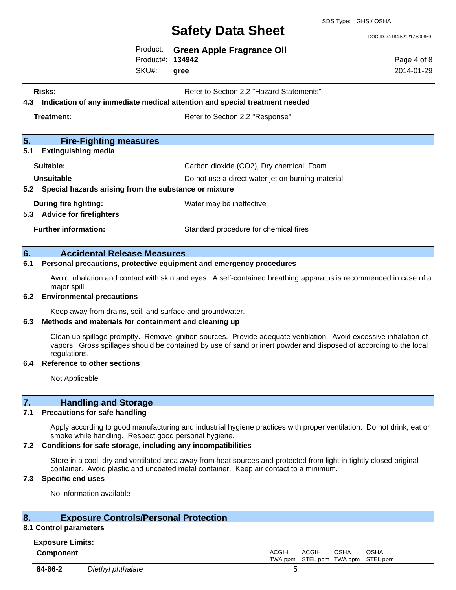## SDS Type: GHS / OSHA **Safety Data Sheet**

Page 4 of 8 2014-01-29

DOC ID: 41184.521217.600869

Product: **Green Apple Fragrance Oil** Product#: **134942**

SKU#: **gree**

- **Risks:** Risks: Refer to Section 2.2 "Hazard Statements"
- **4.3 Indication of any immediate medical attention and special treatment needed**

**Treatment: Refer to Section 2.2 "Response"** 

| <u>J.</u><br><b>FIFFIQUULLY URGSULES</b>                       |                                                   |  |
|----------------------------------------------------------------|---------------------------------------------------|--|
| <b>Extinguishing media</b><br>5.1                              |                                                   |  |
| Suitable:                                                      | Carbon dioxide (CO2), Dry chemical, Foam          |  |
| <b>Unsuitable</b>                                              | Do not use a direct water jet on burning material |  |
| 5.2 Special hazards arising from the substance or mixture      |                                                   |  |
| During fire fighting:<br><b>Advice for firefighters</b><br>5.3 | Water may be ineffective                          |  |
| <b>Further information:</b>                                    | Standard procedure for chemical fires             |  |

## **6. Accidental Release Measures**

**5. Fire-Fighting measures**

### **6.1 Personal precautions, protective equipment and emergency procedures**

Avoid inhalation and contact with skin and eyes. A self-contained breathing apparatus is recommended in case of a major spill.

### **6.2 Environmental precautions**

Keep away from drains, soil, and surface and groundwater.

### **6.3 Methods and materials for containment and cleaning up**

Clean up spillage promptly. Remove ignition sources. Provide adequate ventilation. Avoid excessive inhalation of vapors. Gross spillages should be contained by use of sand or inert powder and disposed of according to the local regulations.

### **6.4 Reference to other sections**

Not Applicable

# **7. Handling and Storage**

## **7.1 Precautions for safe handling**

Apply according to good manufacturing and industrial hygiene practices with proper ventilation. Do not drink, eat or smoke while handling. Respect good personal hygiene.

### **7.2 Conditions for safe storage, including any incompatibilities**

Store in a cool, dry and ventilated area away from heat sources and protected from light in tightly closed original container. Avoid plastic and uncoated metal container. Keep air contact to a minimum.

## **7.3 Specific end uses**

No information available

## **8. Exposure Controls/Personal Protection**

# **8.1 Control parameters**

| <b>Exposure Limits:</b> |  |
|-------------------------|--|
| Component               |  |

**Component** ACGIH TWA ppm ACGIH STEL ppm TWA ppm STEL ppm OSHA OSHA **84-66-2** *Diethyl phthalate* 5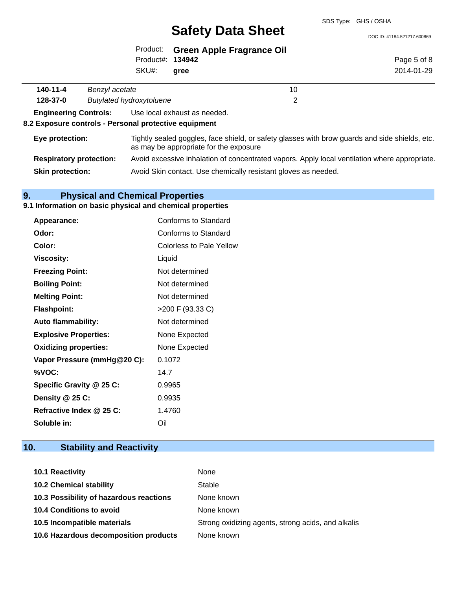DOC ID: 41184.521217.600869

|                                                                                                                                                             |                | Product:<br>Product#: 134942<br>SKU#: | <b>Green Apple Fragrance Oil</b><br>gree                                                      | Page 5 of 8<br>2014-01-29 |
|-------------------------------------------------------------------------------------------------------------------------------------------------------------|----------------|---------------------------------------|-----------------------------------------------------------------------------------------------|---------------------------|
|                                                                                                                                                             |                |                                       |                                                                                               |                           |
| 140-11-4                                                                                                                                                    | Benzyl acetate |                                       | 10                                                                                            |                           |
| <b>Butylated hydroxytoluene</b><br>2<br>128-37-0                                                                                                            |                |                                       |                                                                                               |                           |
| <b>Engineering Controls:</b>                                                                                                                                |                |                                       | Use local exhaust as needed.                                                                  |                           |
| 8.2 Exposure controls - Personal protective equipment                                                                                                       |                |                                       |                                                                                               |                           |
| Tightly sealed goggles, face shield, or safety glasses with brow guards and side shields, etc.<br>Eye protection:<br>as may be appropriate for the exposure |                |                                       |                                                                                               |                           |
| <b>Respiratory protection:</b>                                                                                                                              |                |                                       | Avoid excessive inhalation of concentrated vapors. Apply local ventilation where appropriate. |                           |
| <b>Skin protection:</b><br>Avoid Skin contact. Use chemically resistant gloves as needed.                                                                   |                |                                       |                                                                                               |                           |

# **9. Physical and Chemical Properties**

# **9.1 Information on basic physical and chemical properties**

| Appearance:                  | <b>Conforms to Standard</b> |
|------------------------------|-----------------------------|
| Odor:                        | Conforms to Standard        |
| Color:                       | Colorless to Pale Yellow    |
| <b>Viscosity:</b>            | Liquid                      |
| <b>Freezing Point:</b>       | Not determined              |
| <b>Boiling Point:</b>        | Not determined              |
| <b>Melting Point:</b>        | Not determined              |
| <b>Flashpoint:</b>           | >200 F (93.33 C)            |
| <b>Auto flammability:</b>    | Not determined              |
| <b>Explosive Properties:</b> | None Expected               |
| <b>Oxidizing properties:</b> | None Expected               |
| Vapor Pressure (mmHg@20 C):  | 0.1072                      |
| %VOC:                        | 14.7                        |
| Specific Gravity @ 25 C:     | 0.9965                      |
| Density @ 25 C:              | 0.9935                      |
| Refractive Index @ 25 C:     | 1.4760                      |
| Soluble in:                  | Oil                         |

# **10. Stability and Reactivity**

| 10.1 Reactivity                         | None                                               |
|-----------------------------------------|----------------------------------------------------|
| <b>10.2 Chemical stability</b>          | Stable                                             |
| 10.3 Possibility of hazardous reactions | None known                                         |
| <b>10.4 Conditions to avoid</b>         | None known                                         |
| 10.5 Incompatible materials             | Strong oxidizing agents, strong acids, and alkalis |
| 10.6 Hazardous decomposition products   | None known                                         |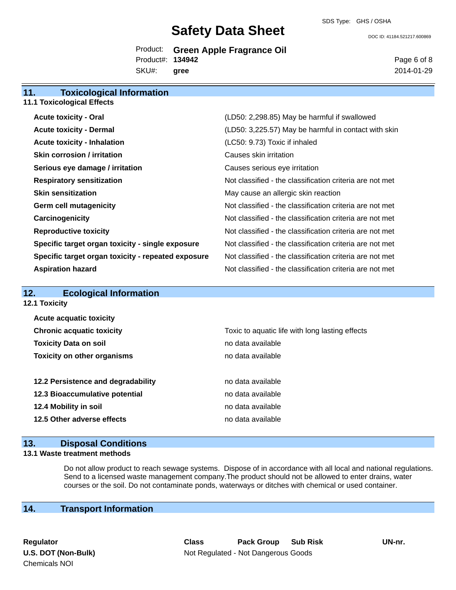DOC ID: 41184.521217.600869

# Product: **Green Apple Fragrance Oil** Product#: **134942**

SKU#: **gree**

**11. Toxicological Information**

Page 6 of 8 2014-01-29

| .                                                  |                                                          |
|----------------------------------------------------|----------------------------------------------------------|
| <b>11.1 Toxicological Effects</b>                  |                                                          |
| <b>Acute toxicity - Oral</b>                       | (LD50: 2,298.85) May be harmful if swallowed             |
| <b>Acute toxicity - Dermal</b>                     | (LD50: 3,225.57) May be harmful in contact with skin     |
| <b>Acute toxicity - Inhalation</b>                 | (LC50: 9.73) Toxic if inhaled                            |
| <b>Skin corrosion / irritation</b>                 | Causes skin irritation                                   |
| Serious eye damage / irritation                    | Causes serious eye irritation                            |
| <b>Respiratory sensitization</b>                   | Not classified - the classification criteria are not met |
| <b>Skin sensitization</b>                          | May cause an allergic skin reaction                      |
| <b>Germ cell mutagenicity</b>                      | Not classified - the classification criteria are not met |
| Carcinogenicity                                    | Not classified - the classification criteria are not met |
| <b>Reproductive toxicity</b>                       | Not classified - the classification criteria are not met |
| Specific target organ toxicity - single exposure   | Not classified - the classification criteria are not met |
| Specific target organ toxicity - repeated exposure | Not classified - the classification criteria are not met |
| <b>Aspiration hazard</b>                           | Not classified - the classification criteria are not met |
|                                                    |                                                          |

| 12.                                | <b>Ecological Information</b>      |                                                 |  |  |
|------------------------------------|------------------------------------|-------------------------------------------------|--|--|
| 12.1 Toxicity                      |                                    |                                                 |  |  |
|                                    | <b>Acute acquatic toxicity</b>     |                                                 |  |  |
| <b>Chronic acquatic toxicity</b>   |                                    | Toxic to aquatic life with long lasting effects |  |  |
| <b>Toxicity Data on soil</b>       |                                    | no data available                               |  |  |
| <b>Toxicity on other organisms</b> |                                    | no data available                               |  |  |
|                                    | 12.2 Persistence and degradability | no data available                               |  |  |
|                                    | 12.3 Bioaccumulative potential     | no data available                               |  |  |
|                                    | 12.4 Mobility in soil              | no data available                               |  |  |
| 12.5 Other adverse effects         |                                    | no data available                               |  |  |
|                                    |                                    |                                                 |  |  |

# **13. Disposal Conditions**

## **13.1 Waste treatment methods**

Do not allow product to reach sewage systems. Dispose of in accordance with all local and national regulations. Send to a licensed waste management company.The product should not be allowed to enter drains, water courses or the soil. Do not contaminate ponds, waterways or ditches with chemical or used container.

# **14. Transport Information**

Chemicals NOI

**Regulator Class Pack Group Sub Risk UN-nr. U.S. DOT (Non-Bulk)** Not Regulated - Not Dangerous Goods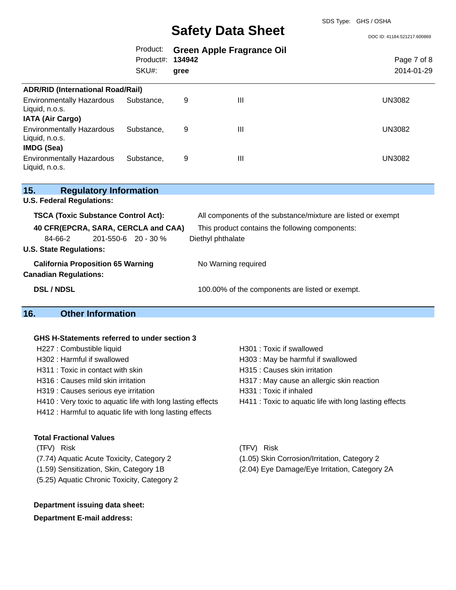DOC ID: 41184.521217.600869

|                                                                         | Product:<br>Product#:<br>SKU#: | 134942<br>gree | <b>Green Apple Fragrance Oil</b> | Page 7 of 8<br>2014-01-29 |
|-------------------------------------------------------------------------|--------------------------------|----------------|----------------------------------|---------------------------|
| <b>ADR/RID (International Road/Rail)</b>                                |                                |                |                                  |                           |
| <b>Environmentally Hazardous</b><br>Liquid, n.o.s.                      | Substance.                     | 9              | $\mathbf{III}$                   | <b>UN3082</b>             |
| <b>IATA (Air Cargo)</b>                                                 |                                |                |                                  |                           |
| <b>Environmentally Hazardous</b><br>Liquid, n.o.s.<br><b>IMDG (Sea)</b> | Substance.                     | 9              | $\mathbf{III}$                   | <b>UN3082</b>             |
|                                                                         | Substance.                     | 9              | $\mathbf{III}$                   | <b>UN3082</b>             |
| <b>Environmentally Hazardous</b><br>Liquid, n.o.s.                      |                                |                |                                  |                           |

| 15.                                        | <b>Regulatory Information</b> |                                                              |
|--------------------------------------------|-------------------------------|--------------------------------------------------------------|
| <b>U.S. Federal Regulations:</b>           |                               |                                                              |
| <b>TSCA (Toxic Substance Control Act):</b> |                               | All components of the substance/mixture are listed or exempt |
| 40 CFR(EPCRA, SARA, CERCLA and CAA)        |                               | This product contains the following components:              |
| 84-66-2                                    | 201-550-6 20 - 30 %           | Diethyl phthalate                                            |
| <b>U.S. State Regulations:</b>             |                               |                                                              |
| <b>California Proposition 65 Warning</b>   |                               | No Warning required                                          |
| <b>Canadian Regulations:</b>               |                               |                                                              |
| <b>DSL / NDSL</b>                          |                               | 100.00% of the components are listed or exempt.              |
|                                            |                               |                                                              |

# **16. Other Information**

#### **GHS H-Statements referred to under section 3**

H227 : Combustible liquid H301 : Toxic if swallowed H302 : Harmful if swallowed H303 : May be harmful if swallowed H311 : Toxic in contact with skin History Muslim H315 : Causes skin irritation H316 : Causes mild skin irritation **H317** : May cause an allergic skin reaction H319 : Causes serious eye irritation H331 : Toxic if inhaled H410 : Very toxic to aquatic life with long lasting effects H411 : Toxic to aquatic life with long lasting effects H412 : Harmful to aquatic life with long lasting effects

## **Total Fractional Values**

- (7.74) Aquatic Acute Toxicity, Category 2 (1.05) Skin Corrosion/Irritation, Category 2
- 
- (5.25) Aquatic Chronic Toxicity, Category 2

## **Department issuing data sheet:**

#### **Department E-mail address:**

(TFV) Risk (TFV) Risk

- 
- (1.59) Sensitization, Skin, Category 1B (2.04) Eye Damage/Eye Irritation, Category 2A